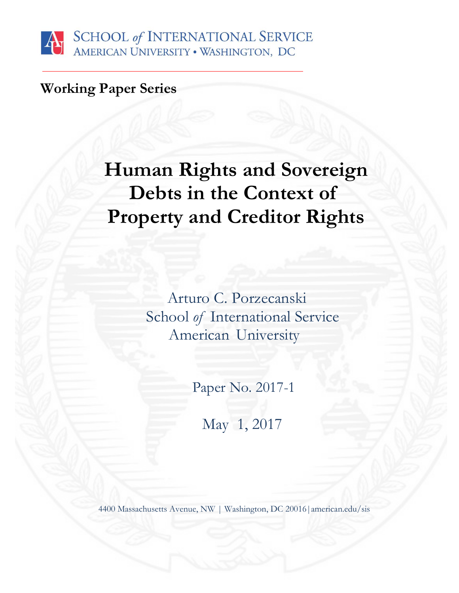

**Working Paper Series**

**Human Rights and Sovereign Debts in the Context of Property and Creditor Rights**

> Arturo C. Porzecanski School *of* International Service American University

> > Paper No. 2017-1

May 1, 2017

4400 Massachusetts Avenue, NW | Washington, DC 20016|american.edu/sis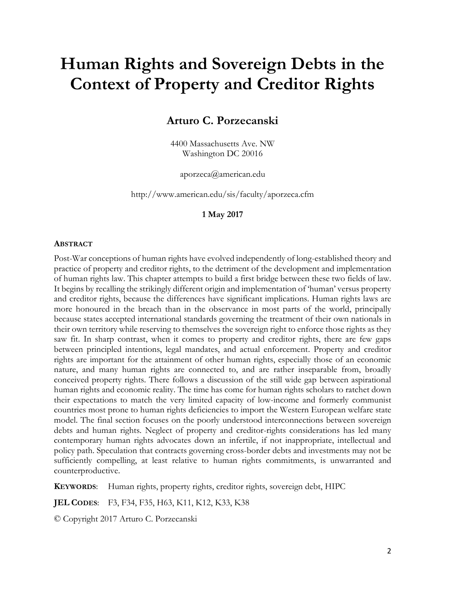# **Human Rights and Sovereign Debts in the Context of Property and Creditor Rights**

#### **Arturo C. Porzecanski**

4400 Massachusetts Ave. NW Washington DC 20016

aporzeca@american.edu

http://www.american.edu/sis/faculty/aporzeca.cfm

#### **1 May 2017**

#### **ABSTRACT**

Post-War conceptions of human rights have evolved independently of long-established theory and practice of property and creditor rights, to the detriment of the development and implementation of human rights law. This chapter attempts to build a first bridge between these two fields of law. It begins by recalling the strikingly different origin and implementation of 'human' versus property and creditor rights, because the differences have significant implications. Human rights laws are more honoured in the breach than in the observance in most parts of the world, principally because states accepted international standards governing the treatment of their own nationals in their own territory while reserving to themselves the sovereign right to enforce those rights as they saw fit. In sharp contrast, when it comes to property and creditor rights, there are few gaps between principled intentions, legal mandates, and actual enforcement. Property and creditor rights are important for the attainment of other human rights, especially those of an economic nature, and many human rights are connected to, and are rather inseparable from, broadly conceived property rights. There follows a discussion of the still wide gap between aspirational human rights and economic reality. The time has come for human rights scholars to ratchet down their expectations to match the very limited capacity of low-income and formerly communist countries most prone to human rights deficiencies to import the Western European welfare state model. The final section focuses on the poorly understood interconnections between sovereign debts and human rights. Neglect of property and creditor-rights considerations has led many contemporary human rights advocates down an infertile, if not inappropriate, intellectual and policy path. Speculation that contracts governing cross-border debts and investments may not be sufficiently compelling, at least relative to human rights commitments, is unwarranted and counterproductive.

**KEYWORDS**: Human rights, property rights, creditor rights, sovereign debt, HIPC

**JEL CODES**: F3, F34, F35, H63, K11, K12, K33, K38

© Copyright 2017 Arturo C. Porzecanski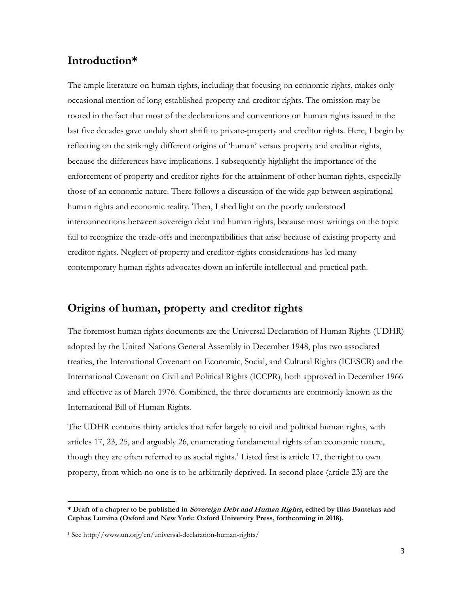## **Introduction\***

The ample literature on human rights, including that focusing on economic rights, makes only occasional mention of long-established property and creditor rights. The omission may be rooted in the fact that most of the declarations and conventions on human rights issued in the last five decades gave unduly short shrift to private-property and creditor rights. Here, I begin by reflecting on the strikingly different origins of 'human' versus property and creditor rights, because the differences have implications. I subsequently highlight the importance of the enforcement of property and creditor rights for the attainment of other human rights, especially those of an economic nature. There follows a discussion of the wide gap between aspirational human rights and economic reality. Then, I shed light on the poorly understood interconnections between sovereign debt and human rights, because most writings on the topic fail to recognize the trade-offs and incompatibilities that arise because of existing property and creditor rights. Neglect of property and creditor-rights considerations has led many contemporary human rights advocates down an infertile intellectual and practical path.

# **Origins of human, property and creditor rights**

The foremost human rights documents are the Universal Declaration of Human Rights (UDHR) adopted by the United Nations General Assembly in December 1948, plus two associated treaties, the International Covenant on Economic, Social, and Cultural Rights (ICESCR) and the International Covenant on Civil and Political Rights (ICCPR), both approved in December 1966 and effective as of March 1976. Combined, the three documents are commonly known as the International Bill of Human Rights.

The UDHR contains thirty articles that refer largely to civil and political human rights, with articles 17, 23, 25, and arguably 26, enumerating fundamental rights of an economic nature, though they are often referred to as social rights. <sup>1</sup> Listed first is article 17, the right to own property, from which no one is to be arbitrarily deprived. In second place (article 23) are the

**<sup>\*</sup> Draft of a chapter to be published in Sovereign Debt and Human Rights, edited by Ilias Bantekas and Cephas Lumina (Oxford and New York: Oxford University Press, forthcoming in 2018).**

<sup>1</sup> See<http://www.un.org/en/universal-declaration-human-rights/>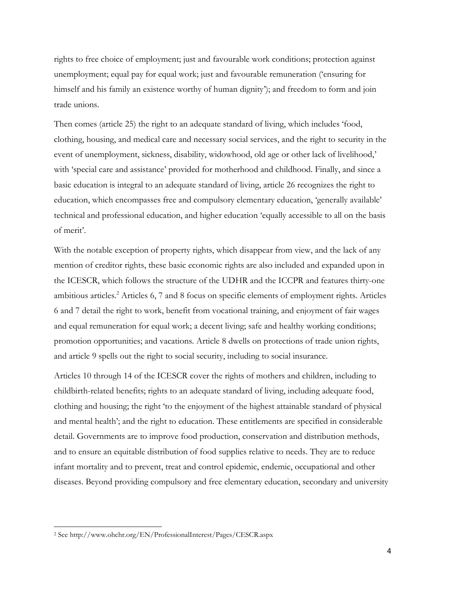rights to free choice of employment; just and favourable work conditions; protection against unemployment; equal pay for equal work; just and favourable remuneration ('ensuring for himself and his family an existence worthy of human dignity'); and freedom to form and join trade unions.

Then comes (article 25) the right to an adequate standard of living, which includes 'food, clothing, housing, and medical care and necessary social services, and the right to security in the event of unemployment, sickness, disability, widowhood, old age or other lack of livelihood,' with 'special care and assistance' provided for motherhood and childhood. Finally, and since a basic education is integral to an adequate standard of living, article 26 recognizes the right to education, which encompasses free and compulsory elementary education, 'generally available' technical and professional education, and higher education 'equally accessible to all on the basis of merit'.

With the notable exception of property rights, which disappear from view, and the lack of any mention of creditor rights, these basic economic rights are also included and expanded upon in the ICESCR, which follows the structure of the UDHR and the ICCPR and features thirty-one ambitious articles. <sup>2</sup> Articles 6, 7 and 8 focus on specific elements of employment rights. Articles 6 and 7 detail the right to work, benefit from vocational training, and enjoyment of fair wages and equal remuneration for equal work; a decent living; safe and healthy working conditions; promotion opportunities; and vacations. Article 8 dwells on protections of trade union rights, and article 9 spells out the right to social security, including to social insurance.

Articles 10 through 14 of the ICESCR cover the rights of mothers and children, including to childbirth-related benefits; rights to an adequate standard of living, including adequate food, clothing and housing; the right 'to the enjoyment of the highest attainable standard of physical and mental health'; and the right to education. These entitlements are specified in considerable detail. Governments are to improve food production, conservation and distribution methods, and to ensure an equitable distribution of food supplies relative to needs. They are to reduce infant mortality and to prevent, treat and control epidemic, endemic, occupational and other diseases. Beyond providing compulsory and free elementary education, secondary and university

<sup>2</sup> See http://www.ohchr.org/EN/ProfessionalInterest/Pages/CESCR.aspx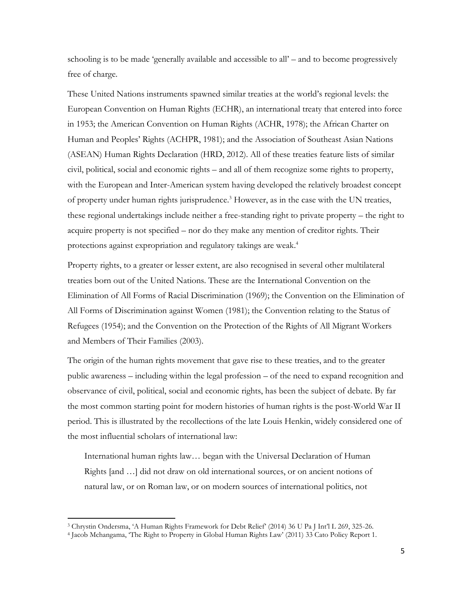schooling is to be made 'generally available and accessible to all' – and to become progressively free of charge.

These United Nations instruments spawned similar treaties at the world's regional levels: the European Convention on Human Rights (ECHR), an international treaty that entered into force in 1953; the American Convention on Human Rights (ACHR, 1978); the African Charter on Human and Peoples' Rights (ACHPR, 1981); and the Association of Southeast Asian Nations (ASEAN) Human Rights Declaration (HRD, 2012). All of these treaties feature lists of similar civil, political, social and economic rights – and all of them recognize some rights to property, with the European and Inter-American system having developed the relatively broadest concept of property under human rights jurisprudence. <sup>3</sup> However, as in the case with the UN treaties, these regional undertakings include neither a free-standing right to private property – the right to acquire property is not specified – nor do they make any mention of creditor rights. Their protections against expropriation and regulatory takings are weak. 4

Property rights, to a greater or lesser extent, are also recognised in several other multilateral treaties born out of the United Nations. These are the International Convention on the Elimination of All Forms of Racial Discrimination (1969); the Convention on the Elimination of All Forms of Discrimination against Women (1981); the Convention relating to the Status of Refugees (1954); and the Convention on the Protection of the Rights of All Migrant Workers and Members of Their Families (2003).

The origin of the human rights movement that gave rise to these treaties, and to the greater public awareness – including within the legal profession – of the need to expand recognition and observance of civil, political, social and economic rights, has been the subject of debate. By far the most common starting point for modern histories of human rights is the post-World War II period. This is illustrated by the recollections of the late Louis Henkin, widely considered one of the most influential scholars of international law:

International human rights law… began with the Universal Declaration of Human Rights [and …] did not draw on old international sources, or on ancient notions of natural law, or on Roman law, or on modern sources of international politics, not

<sup>3</sup> Chrystin Ondersma, 'A Human Rights Framework for Debt Relief' (2014) 36 U Pa J Int'l L 269, 325-26.

<sup>4</sup> Jacob Mchangama, 'The Right to Property in Global Human Rights Law' (2011) 33 Cato Policy Report 1.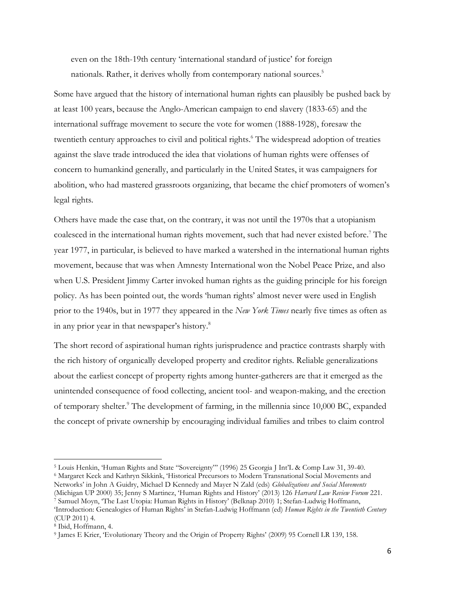even on the 18th-19th century 'international standard of justice' for foreign nationals. Rather, it derives wholly from contemporary national sources. 5

Some have argued that the history of international human rights can plausibly be pushed back by at least 100 years, because the Anglo-American campaign to end slavery (1833-65) and the international suffrage movement to secure the vote for women (1888-1928), foresaw the twentieth century approaches to civil and political rights. <sup>6</sup> The widespread adoption of treaties against the slave trade introduced the idea that violations of human rights were offenses of concern to humankind generally, and particularly in the United States, it was campaigners for abolition, who had mastered grassroots organizing, that became the chief promoters of women's legal rights.

Others have made the case that, on the contrary, it was not until the 1970s that a utopianism coalesced in the international human rights movement, such that had never existed before. <sup>7</sup> The year 1977, in particular, is believed to have marked a watershed in the international human rights movement, because that was when Amnesty International won the Nobel Peace Prize, and also when U.S. President Jimmy Carter invoked human rights as the guiding principle for his foreign policy. As has been pointed out, the words 'human rights' almost never were used in English prior to the 1940s, but in 1977 they appeared in the *New York Times* nearly five times as often as in any prior year in that newspaper's history. 8

The short record of aspirational human rights jurisprudence and practice contrasts sharply with the rich history of organically developed property and creditor rights. Reliable generalizations about the earliest concept of property rights among hunter-gatherers are that it emerged as the unintended consequence of food collecting, ancient tool- and weapon-making, and the erection of temporary shelter. <sup>9</sup> The development of farming, in the millennia since 10,000 BC, expanded the concept of private ownership by encouraging individual families and tribes to claim control

<sup>5</sup> Louis Henkin, 'Human Rights and State "Sovereignty"' (1996) 25 Georgia J Int'L & Comp Law 31, 39-40.

<sup>6</sup> Margaret Keck and Kathryn Sikkink, 'Historical Precursors to Modern Transnational Social Movements and Networks' in John A Guidry, Michael D Kennedy and Mayer N Zald (eds) *Globalizations and Social Movements*

<sup>(</sup>Michigan UP 2000) 35; Jenny S Martinez, 'Human Rights and History' (2013) 126 *Harvard Law Review Forum* 221. <sup>7</sup> Samuel Moyn, 'The Last Utopia: Human Rights in History' (Belknap 2010) 1; Stefan-Ludwig Hoffmann, 'Introduction: Genealogies of Human Rights' in Stefan-Ludwig Hoffmann (ed) *Human Rights in the Twentieth Century*

<sup>(</sup>CUP 2011) 4.

<sup>8</sup> Ibid, Hoffmann, 4.

<sup>9</sup> James E Krier, 'Evolutionary Theory and the Origin of Property Rights' (2009) 95 Cornell LR 139, 158.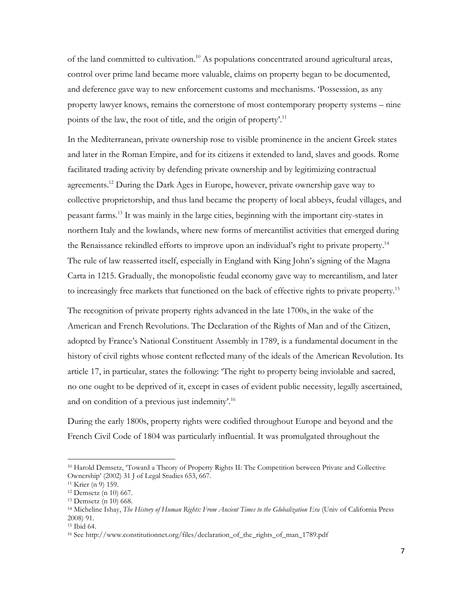of the land committed to cultivation.<sup>10</sup> As populations concentrated around agricultural areas, control over prime land became more valuable, claims on property began to be documented, and deference gave way to new enforcement customs and mechanisms. 'Possession, as any property lawyer knows, remains the cornerstone of most contemporary property systems – nine points of the law, the root of title, and the origin of property'.<sup>11</sup>

In the Mediterranean, private ownership rose to visible prominence in the ancient Greek states and later in the Roman Empire, and for its citizens it extended to land, slaves and goods. Rome facilitated trading activity by defending private ownership and by legitimizing contractual agreements. <sup>12</sup> During the Dark Ages in Europe, however, private ownership gave way to collective proprietorship, and thus land became the property of local abbeys, feudal villages, and peasant farms. <sup>13</sup> It was mainly in the large cities, beginning with the important city-states in northern Italy and the lowlands, where new forms of mercantilist activities that emerged during the Renaissance rekindled efforts to improve upon an individual's right to private property.<sup>14</sup> The rule of law reasserted itself, especially in England with King John's signing of the Magna Carta in 1215. Gradually, the monopolistic feudal economy gave way to mercantilism, and later to increasingly free markets that functioned on the back of effective rights to private property.<sup>15</sup>

The recognition of private property rights advanced in the late 1700s, in the wake of the American and French Revolutions. The Declaration of the Rights of Man and of the Citizen, adopted by France's National Constituent Assembly in 1789, is a fundamental document in the history of civil rights whose content reflected many of the ideals of the American Revolution. Its article 17, in particular, states the following: 'The right to property being inviolable and sacred, no one ought to be deprived of it, except in cases of evident public necessity, legally ascertained, and on condition of a previous just indemnity'.<sup>16</sup>

During the early 1800s, property rights were codified throughout Europe and beyond and the French Civil Code of 1804 was particularly influential. It was promulgated throughout the

<sup>10</sup> Harold Demsetz, 'Toward a Theory of Property Rights II: The Competition between Private and Collective Ownership' (2002) 31 J of Legal Studies 653, 667.

<sup>11</sup> Krier (n 9) 159.

<sup>12</sup> Demsetz (n 10) 667.

<sup>13</sup> Demsetz (n 10) 668.

<sup>14</sup> Micheline Ishay, *The History of Human Rights: From Ancient Times to the Globalization Era* (Univ of California Press 2008) 91.

<sup>15</sup> Ibid 64.

<sup>16</sup> See http://www.constitutionnet.org/files/declaration\_of\_the\_rights\_of\_man\_1789.pdf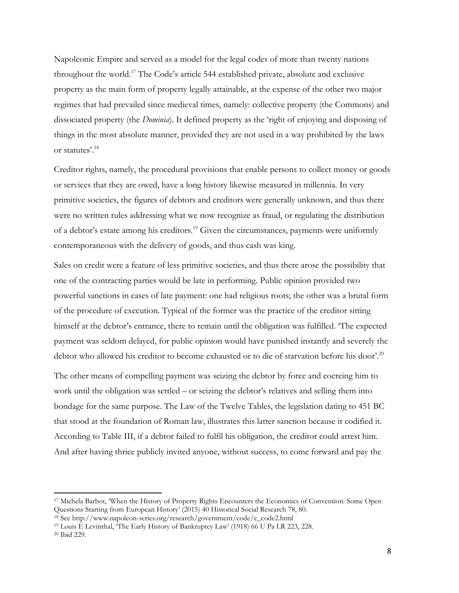Napoleonic Empire and served as a model for the legal codes of more than twenty nations throughout the world.<sup>17</sup> The Code's article 544 established private, absolute and exclusive property as the main form of property legally attainable, at the expense of the other two major regimes that had prevailed since medieval times, namely: collective property (the Commons) and dissociated property (the *Dominia*). It defined property as the 'right of enjoying and disposing of things in the most absolute manner, provided they are not used in a way prohibited by the laws or statutes'. 18

Creditor rights, namely, the procedural provisions that enable persons to collect money or goods or services that they are owed, have a long history likewise measured in millennia. In very primitive societies, the figures of debtors and creditors were generally unknown, and thus there were no written rules addressing what we now recognize as fraud, or regulating the distribution of a debtor's estate among his creditors. <sup>19</sup> Given the circumstances, payments were uniformly contemporaneous with the delivery of goods, and thus cash was king.

Sales on credit were a feature of less primitive societies, and thus there arose the possibility that one of the contracting parties would be late in performing. Public opinion provided two powerful sanctions in cases of late payment: one had religious roots; the other was a brutal form of the procedure of execution. Typical of the former was the practice of the creditor sitting himself at the debtor's entrance, there to remain until the obligation was fulfilled. 'The expected payment was seldom delayed, for public opinion would have punished instantly and severely the debtor who allowed his creditor to become exhausted or to die of starvation before his door'.<sup>20</sup>

The other means of compelling payment was seizing the debtor by force and coercing him to work until the obligation was settled – or seizing the debtor's relatives and selling them into bondage for the same purpose. The Law of the Twelve Tables, the legislation dating to 451 BC that stood at the foundation of Roman law, illustrates this latter sanction because it codified it. According to Table III, if a debtor failed to fulfil his obligation, the creditor could arrest him. And after having thrice publicly invited anyone, without success, to come forward and pay the

<sup>17</sup> Michela Barbot, 'When the History of Property Rights Encounters the Economics of Convention: Some Open Questions Starting from European History' (2015) 40 Historical Social Research 78, 80.

<sup>18</sup> See http://www.napoleon-series.org/research/government/code/c\_code2.html

<sup>19</sup> Louis E Levinthal, 'The Early History of Bankruptcy Law' (1918) 66 U Pa LR 223, 228.

<sup>20</sup> Ibid 229.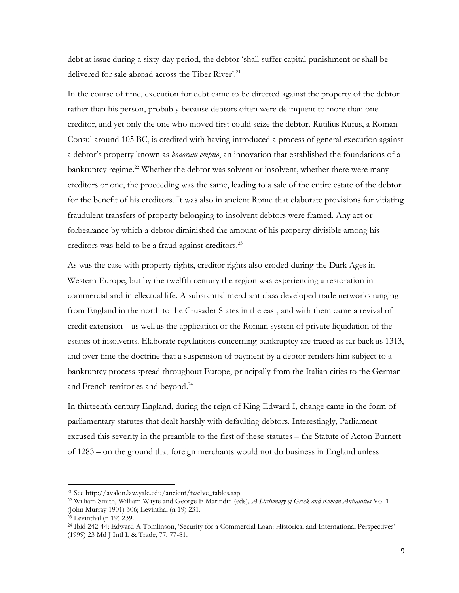debt at issue during a sixty-day period, the debtor 'shall suffer capital punishment or shall be delivered for sale abroad across the Tiber River'. 21

In the course of time, execution for debt came to be directed against the property of the debtor rather than his person, probably because debtors often were delinquent to more than one creditor, and yet only the one who moved first could seize the debtor. Rutilius Rufus, a Roman Consul around 105 BC, is credited with having introduced a process of general execution against a debtor's property known as *bonorum emptio*, an innovation that established the foundations of a bankruptcy regime.<sup>22</sup> Whether the debtor was solvent or insolvent, whether there were many creditors or one, the proceeding was the same, leading to a sale of the entire estate of the debtor for the benefit of his creditors. It was also in ancient Rome that elaborate provisions for vitiating fraudulent transfers of property belonging to insolvent debtors were framed. Any act or forbearance by which a debtor diminished the amount of his property divisible among his creditors was held to be a fraud against creditors.<sup>23</sup>

As was the case with property rights, creditor rights also eroded during the Dark Ages in Western Europe, but by the twelfth century the region was experiencing a restoration in commercial and intellectual life. A substantial merchant class developed trade networks ranging from England in the north to the Crusader States in the east, and with them came a revival of credit extension – as well as the application of the Roman system of private liquidation of the estates of insolvents. Elaborate regulations concerning bankruptcy are traced as far back as 1313, and over time the doctrine that a suspension of payment by a debtor renders him subject to a bankruptcy process spread throughout Europe, principally from the Italian cities to the German and French territories and beyond.<sup>24</sup>

In thirteenth century England, during the reign of King Edward I, change came in the form of parliamentary statutes that dealt harshly with defaulting debtors. Interestingly, Parliament excused this severity in the preamble to the first of these statutes – the Statute of Acton Burnett of 1283 – on the ground that foreign merchants would not do business in England unless

<sup>21</sup> See http://avalon.law.yale.edu/ancient/twelve\_tables.asp

<sup>22</sup> William Smith, William Wayte and George E Marindin (eds), *A Dictionary of Greek and Roman Antiquities* Vol 1 (John Murray 1901) 306; Levinthal (n 19) 231.

<sup>23</sup> Levinthal (n 19) 239.

<sup>24</sup> Ibid 242-44; Edward A Tomlinson, 'Security for a Commercial Loan: Historical and International Perspectives' (1999) 23 Md J Intl L & Trade, 77, 77-81.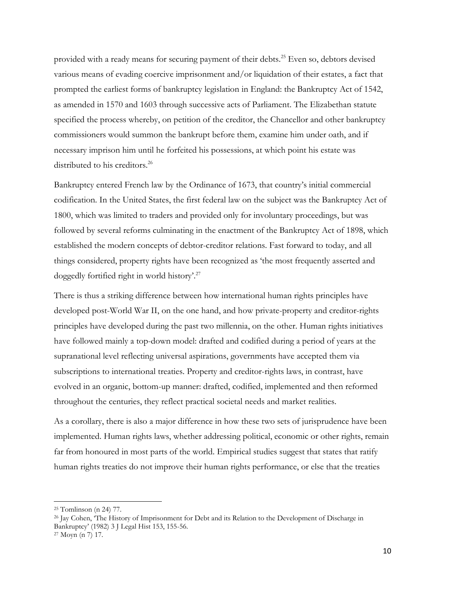provided with a ready means for securing payment of their debts.<sup>25</sup> Even so, debtors devised various means of evading coercive imprisonment and/or liquidation of their estates, a fact that prompted the earliest forms of bankruptcy legislation in England: the Bankruptcy Act of 1542, as amended in 1570 and 1603 through successive acts of Parliament. The Elizabethan statute specified the process whereby, on petition of the creditor, the Chancellor and other bankruptcy commissioners would summon the bankrupt before them, examine him under oath, and if necessary imprison him until he forfeited his possessions, at which point his estate was distributed to his creditors.<sup>26</sup>

Bankruptcy entered French law by the Ordinance of 1673, that country's initial commercial codification. In the United States, the first federal law on the subject was the Bankruptcy Act of 1800, which was limited to traders and provided only for involuntary proceedings, but was followed by several reforms culminating in the enactment of the Bankruptcy Act of 1898, which established the modern concepts of debtor-creditor relations. Fast forward to today, and all things considered, property rights have been recognized as 'the most frequently asserted and doggedly fortified right in world history'. 27

There is thus a striking difference between how international human rights principles have developed post-World War II, on the one hand, and how private-property and creditor-rights principles have developed during the past two millennia, on the other. Human rights initiatives have followed mainly a top-down model: drafted and codified during a period of years at the supranational level reflecting universal aspirations, governments have accepted them via subscriptions to international treaties. Property and creditor-rights laws, in contrast, have evolved in an organic, bottom-up manner: drafted, codified, implemented and then reformed throughout the centuries, they reflect practical societal needs and market realities.

As a corollary, there is also a major difference in how these two sets of jurisprudence have been implemented. Human rights laws, whether addressing political, economic or other rights, remain far from honoured in most parts of the world. Empirical studies suggest that states that ratify human rights treaties do not improve their human rights performance, or else that the treaties

<sup>25</sup> Tomlinson (n 24) 77.

<sup>26</sup> Jay Cohen, 'The History of Imprisonment for Debt and its Relation to the Development of Discharge in Bankruptcy' (1982) 3 J Legal Hist 153, 155-56.

<sup>27</sup> Moyn (n 7) 17.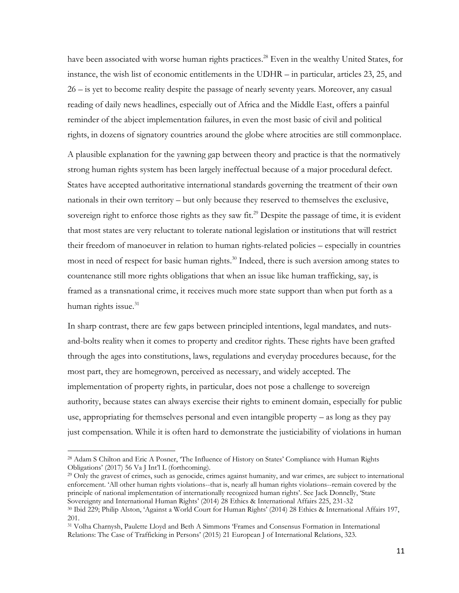have been associated with worse human rights practices.<sup>28</sup> Even in the wealthy United States, for instance, the wish list of economic entitlements in the UDHR – in particular, articles 23, 25, and 26 – is yet to become reality despite the passage of nearly seventy years. Moreover, any casual reading of daily news headlines, especially out of Africa and the Middle East, offers a painful reminder of the abject implementation failures, in even the most basic of civil and political rights, in dozens of signatory countries around the globe where atrocities are still commonplace.

A plausible explanation for the yawning gap between theory and practice is that the normatively strong human rights system has been largely ineffectual because of a major procedural defect. States have accepted authoritative international standards governing the treatment of their own nationals in their own territory – but only because they reserved to themselves the exclusive, sovereign right to enforce those rights as they saw fit.<sup>29</sup> Despite the passage of time, it is evident that most states are very reluctant to tolerate national legislation or institutions that will restrict their freedom of manoeuver in relation to human rights-related policies – especially in countries most in need of respect for basic human rights. <sup>30</sup> Indeed, there is such aversion among states to countenance still more rights obligations that when an issue like human trafficking, say, is framed as a transnational crime, it receives much more state support than when put forth as a human rights issue. 31

In sharp contrast, there are few gaps between principled intentions, legal mandates, and nutsand-bolts reality when it comes to property and creditor rights. These rights have been grafted through the ages into constitutions, laws, regulations and everyday procedures because, for the most part, they are homegrown, perceived as necessary, and widely accepted. The implementation of property rights, in particular, does not pose a challenge to sovereign authority, because states can always exercise their rights to eminent domain, especially for public use, appropriating for themselves personal and even intangible property – as long as they pay just compensation. While it is often hard to demonstrate the justiciability of violations in human

<sup>28</sup> Adam S Chilton and Eric A Posner, 'The Influence of History on States' Compliance with Human Rights Obligations' (2017) 56 Va J Int'l L (forthcoming).

<sup>&</sup>lt;sup>29</sup> Only the gravest of crimes, such as genocide, crimes against humanity, and war crimes, are subject to international enforcement. 'All other human rights violations--that is, nearly all human rights violations--remain covered by the principle of national implementation of internationally recognized human rights'. See Jack Donnelly, 'State Sovereignty and International Human Rights' (2014) 28 Ethics & International Affairs 225, 231-32

<sup>30</sup> Ibid 229; Philip Alston, 'Against a World Court for Human Rights' (2014) 28 Ethics & International Affairs 197, 201.

<sup>31</sup> Volha Charnysh, Paulette Lloyd and Beth A Simmons 'Frames and Consensus Formation in International Relations: The Case of Trafficking in Persons' (2015) 21 European J of International Relations, 323.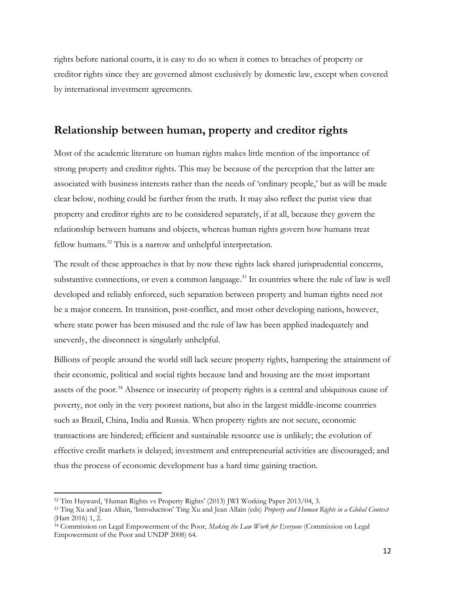rights before national courts, it is easy to do so when it comes to breaches of property or creditor rights since they are governed almost exclusively by domestic law, except when covered by international investment agreements.

#### **Relationship between human, property and creditor rights**

Most of the academic literature on human rights makes little mention of the importance of strong property and creditor rights. This may be because of the perception that the latter are associated with business interests rather than the needs of 'ordinary people,' but as will be made clear below, nothing could be further from the truth. It may also reflect the purist view that property and creditor rights are to be considered separately, if at all, because they govern the relationship between humans and objects, whereas human rights govern how humans treat fellow humans.<sup>32</sup> This is a narrow and unhelpful interpretation.

The result of these approaches is that by now these rights lack shared jurisprudential concerns, substantive connections, or even a common language.<sup>33</sup> In countries where the rule of law is well developed and reliably enforced, such separation between property and human rights need not be a major concern. In transition, post-conflict, and most other developing nations, however, where state power has been misused and the rule of law has been applied inadequately and unevenly, the disconnect is singularly unhelpful.

Billions of people around the world still lack secure property rights, hampering the attainment of their economic, political and social rights because land and housing are the most important assets of the poor.<sup>34</sup> Absence or insecurity of property rights is a central and ubiquitous cause of poverty, not only in the very poorest nations, but also in the largest middle-income countries such as Brazil, China, India and Russia. When property rights are not secure, economic transactions are hindered; efficient and sustainable resource use is unlikely; the evolution of effective credit markets is delayed; investment and entrepreneurial activities are discouraged; and thus the process of economic development has a hard time gaining traction.

<sup>32</sup> Tim Hayward, 'Human Rights vs Property Rights' (2013) JWI Working Paper 2013/04, 3.

<sup>33</sup> Ting Xu and Jean Allain, 'Introduction' Ting Xu and Jean Allain (eds) *Property and Human Rights in a Global Context*  (Hart 2016) 1, 2.

<sup>34</sup> Commission on Legal Empowerment of the Poor, *Making the Law Work for Everyone* (Commission on Legal Empowerment of the Poor and UNDP 2008) 64.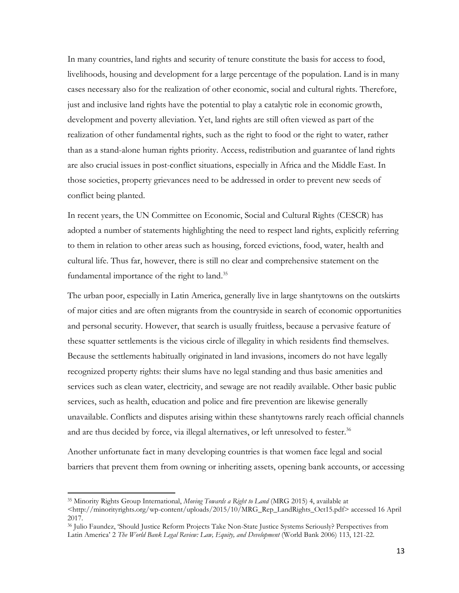In many countries, land rights and security of tenure constitute the basis for access to food, livelihoods, housing and development for a large percentage of the population. Land is in many cases necessary also for the realization of other economic, social and cultural rights. Therefore, just and inclusive land rights have the potential to play a catalytic role in economic growth, development and poverty alleviation. Yet, land rights are still often viewed as part of the realization of other fundamental rights, such as the right to food or the right to water, rather than as a stand-alone human rights priority. Access, redistribution and guarantee of land rights are also crucial issues in post-conflict situations, especially in Africa and the Middle East. In those societies, property grievances need to be addressed in order to prevent new seeds of conflict being planted.

In recent years, the UN Committee on Economic, Social and Cultural Rights (CESCR) has adopted a number of statements highlighting the need to respect land rights, explicitly referring to them in relation to other areas such as housing, forced evictions, food, water, health and cultural life. Thus far, however, there is still no clear and comprehensive statement on the fundamental importance of the right to land.<sup>35</sup>

The urban poor, especially in Latin America, generally live in large shantytowns on the outskirts of major cities and are often migrants from the countryside in search of economic opportunities and personal security. However, that search is usually fruitless, because a pervasive feature of these squatter settlements is the vicious circle of illegality in which residents find themselves. Because the settlements habitually originated in land invasions, incomers do not have legally recognized property rights: their slums have no legal standing and thus basic amenities and services such as clean water, electricity, and sewage are not readily available. Other basic public services, such as health, education and police and fire prevention are likewise generally unavailable. Conflicts and disputes arising within these shantytowns rarely reach official channels and are thus decided by force, via illegal alternatives, or left unresolved to fester.<sup>36</sup>

Another unfortunate fact in many developing countries is that women face legal and social barriers that prevent them from owning or inheriting assets, opening bank accounts, or accessing

<sup>35</sup> Minority Rights Group International, *Moving Towards a Right to Land* (MRG 2015) 4, available at <http://minorityrights.org/wp-content/uploads/2015/10/MRG\_Rep\_LandRights\_Oct15.pdf> accessed 16 April 2017.

<sup>36</sup> Julio Faundez, 'Should Justice Reform Projects Take Non-State Justice Systems Seriously? Perspectives from Latin America' 2 *The World Bank Legal Review: Law, Equity, and Development* (World Bank 2006) 113, 121-22.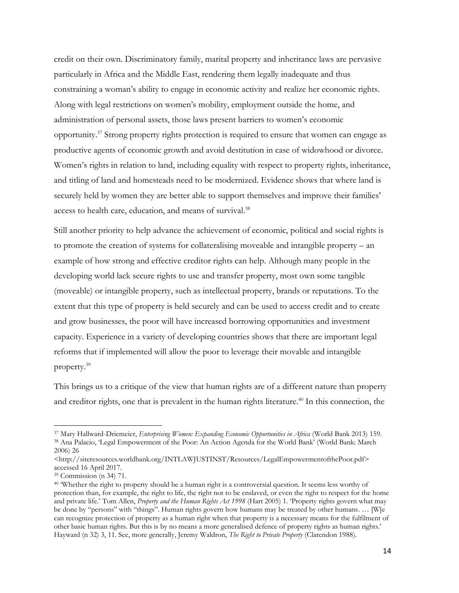credit on their own. Discriminatory family, marital property and inheritance laws are pervasive particularly in Africa and the Middle East, rendering them legally inadequate and thus constraining a woman's ability to engage in economic activity and realize her economic rights. Along with legal restrictions on women's mobility, employment outside the home, and administration of personal assets, those laws present barriers to women's economic opportunity. <sup>37</sup> Strong property rights protection is required to ensure that women can engage as productive agents of economic growth and avoid destitution in case of widowhood or divorce. Women's rights in relation to land, including equality with respect to property rights, inheritance, and titling of land and homesteads need to be modernized. Evidence shows that where land is securely held by women they are better able to support themselves and improve their families' access to health care, education, and means of survival.<sup>38</sup>

Still another priority to help advance the achievement of economic, political and social rights is to promote the creation of systems for collateralising moveable and intangible property – an example of how strong and effective creditor rights can help. Although many people in the developing world lack secure rights to use and transfer property, most own some tangible (moveable) or intangible property, such as intellectual property, brands or reputations. To the extent that this type of property is held securely and can be used to access credit and to create and grow businesses, the poor will have increased borrowing opportunities and investment capacity. Experience in a variety of developing countries shows that there are important legal reforms that if implemented will allow the poor to leverage their movable and intangible property. 39

This brings us to a critique of the view that human rights are of a different nature than property and creditor rights, one that is prevalent in the human rights literature.<sup>40</sup> In this connection, the

<sup>37</sup> Mary Hallward-Driemeier, *Enterprising Women: Expanding Economic Opportunities in Africa* (World Bank 2013) 159.

<sup>38</sup> Ana Palacio, 'Legal Empowerment of the Poor: An Action Agenda for the World Bank' (World Bank: March 2006) 26

<sup>&</sup>lt;http://siteresources.worldbank.org/INTLAWJUSTINST/Resources/LegalEmpowermentofthePoor.pdf> accessed 16 April 2017.

<sup>39</sup> Commission (n 34) 71.

<sup>40</sup> 'Whether the right to property should be a human right is a controversial question. It seems less worthy of protection than, for example, the right to life, the right not to be enslaved, or even the right to respect for the home and private life.' Tom Allen, *Property and the Human Rights Act 1998* (Hart 2005) 1. 'Property rights govern what may be done by "persons" with "things". Human rights govern how humans may be treated by other humans. … [W]e can recognize protection of property as a human right when that property is a necessary means for the fulfilment of other basic human rights. But this is by no means a more generalised defence of property rights as human rights.' Hayward (n 32) 3, 11. See, more generally, Jeremy Waldron, *The Right to Private Property* (Clarendon 1988).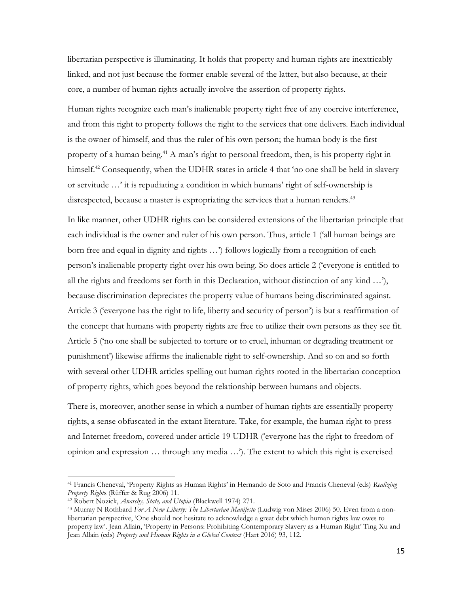libertarian perspective is illuminating. It holds that property and human rights are inextricably linked, and not just because the former enable several of the latter, but also because, at their core, a number of human rights actually involve the assertion of property rights.

Human rights recognize each man's inalienable property right free of any coercive interference, and from this right to property follows the right to the services that one delivers. Each individual is the owner of himself, and thus the ruler of his own person; the human body is the first property of a human being. <sup>41</sup> A man's right to personal freedom, then, is his property right in himself.<sup>42</sup> Consequently, when the UDHR states in article 4 that 'no one shall be held in slavery or servitude …' it is repudiating a condition in which humans' right of self-ownership is disrespected, because a master is expropriating the services that a human renders.<sup>43</sup>

In like manner, other UDHR rights can be considered extensions of the libertarian principle that each individual is the owner and ruler of his own person. Thus, article 1 ('all human beings are born free and equal in dignity and rights …') follows logically from a recognition of each person's inalienable property right over his own being. So does article 2 ('everyone is entitled to all the rights and freedoms set forth in this Declaration, without distinction of any kind …'), because discrimination depreciates the property value of humans being discriminated against. Article 3 ('everyone has the right to life, liberty and security of person') is but a reaffirmation of the concept that humans with property rights are free to utilize their own persons as they see fit. Article 5 ('no one shall be subjected to torture or to cruel, inhuman or degrading treatment or punishment') likewise affirms the inalienable right to self-ownership. And so on and so forth with several other UDHR articles spelling out human rights rooted in the libertarian conception of property rights, which goes beyond the relationship between humans and objects.

There is, moreover, another sense in which a number of human rights are essentially property rights, a sense obfuscated in the extant literature. Take, for example, the human right to press and Internet freedom, covered under article 19 UDHR ('everyone has the right to freedom of opinion and expression … through any media …'). The extent to which this right is exercised

<sup>41</sup> Francis Cheneval, 'Property Rights as Human Rights' in Hernando de Soto and Francis Cheneval (eds) *Realizing Property Right*s (Rüffer & Rug 2006) 11.

<sup>42</sup> Robert Nozick, *Anarchy, State, and Utopia* (Blackwell 1974) 271.

<sup>43</sup> Murray N Rothbard *For A New Liberty: The Libertarian Manifesto* (Ludwig von Mises 2006) 50. Even from a nonlibertarian perspective, 'One should not hesitate to acknowledge a great debt which human rights law owes to property law'. Jean Allain, 'Property in Persons: Prohibiting Contemporary Slavery as a Human Right' Ting Xu and Jean Allain (eds) *Property and Human Rights in a Global Context* (Hart 2016) 93, 112.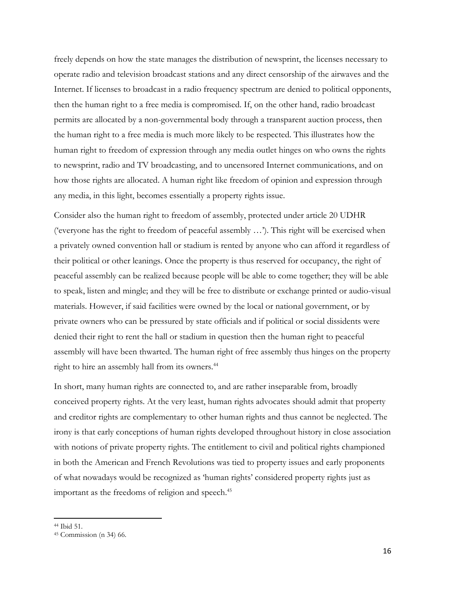freely depends on how the state manages the distribution of newsprint, the licenses necessary to operate radio and television broadcast stations and any direct censorship of the airwaves and the Internet. If licenses to broadcast in a radio frequency spectrum are denied to political opponents, then the human right to a free media is compromised. If, on the other hand, radio broadcast permits are allocated by a non-governmental body through a transparent auction process, then the human right to a free media is much more likely to be respected. This illustrates how the human right to freedom of expression through any media outlet hinges on who owns the rights to newsprint, radio and TV broadcasting, and to uncensored Internet communications, and on how those rights are allocated. A human right like freedom of opinion and expression through any media, in this light, becomes essentially a property rights issue.

Consider also the human right to freedom of assembly, protected under article 20 UDHR ('everyone has the right to freedom of peaceful assembly …'). This right will be exercised when a privately owned convention hall or stadium is rented by anyone who can afford it regardless of their political or other leanings. Once the property is thus reserved for occupancy, the right of peaceful assembly can be realized because people will be able to come together; they will be able to speak, listen and mingle; and they will be free to distribute or exchange printed or audio-visual materials. However, if said facilities were owned by the local or national government, or by private owners who can be pressured by state officials and if political or social dissidents were denied their right to rent the hall or stadium in question then the human right to peaceful assembly will have been thwarted. The human right of free assembly thus hinges on the property right to hire an assembly hall from its owners. 44

In short, many human rights are connected to, and are rather inseparable from, broadly conceived property rights. At the very least, human rights advocates should admit that property and creditor rights are complementary to other human rights and thus cannot be neglected. The irony is that early conceptions of human rights developed throughout history in close association with notions of private property rights. The entitlement to civil and political rights championed in both the American and French Revolutions was tied to property issues and early proponents of what nowadays would be recognized as 'human rights' considered property rights just as important as the freedoms of religion and speech. 45

<sup>44</sup> Ibid 51.

<sup>45</sup> Commission (n 34) 66.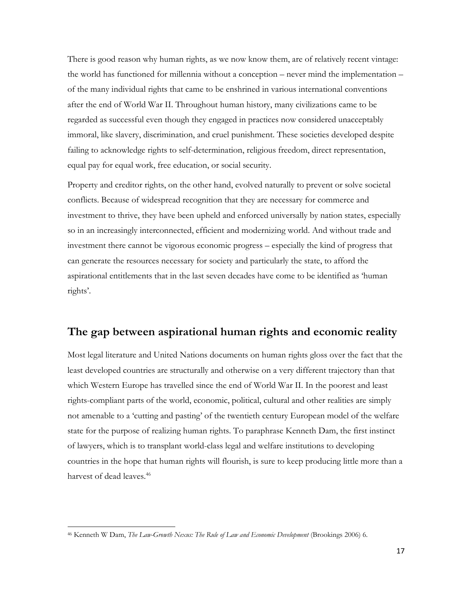There is good reason why human rights, as we now know them, are of relatively recent vintage: the world has functioned for millennia without a conception – never mind the implementation – of the many individual rights that came to be enshrined in various international conventions after the end of World War II. Throughout human history, many civilizations came to be regarded as successful even though they engaged in practices now considered unacceptably immoral, like slavery, discrimination, and cruel punishment. These societies developed despite failing to acknowledge rights to self-determination, religious freedom, direct representation, equal pay for equal work, free education, or social security.

Property and creditor rights, on the other hand, evolved naturally to prevent or solve societal conflicts. Because of widespread recognition that they are necessary for commerce and investment to thrive, they have been upheld and enforced universally by nation states, especially so in an increasingly interconnected, efficient and modernizing world. And without trade and investment there cannot be vigorous economic progress – especially the kind of progress that can generate the resources necessary for society and particularly the state, to afford the aspirational entitlements that in the last seven decades have come to be identified as 'human rights'.

### **The gap between aspirational human rights and economic reality**

Most legal literature and United Nations documents on human rights gloss over the fact that the least developed countries are structurally and otherwise on a very different trajectory than that which Western Europe has travelled since the end of World War II. In the poorest and least rights-compliant parts of the world, economic, political, cultural and other realities are simply not amenable to a 'cutting and pasting' of the twentieth century European model of the welfare state for the purpose of realizing human rights. To paraphrase Kenneth Dam, the first instinct of lawyers, which is to transplant world-class legal and welfare institutions to developing countries in the hope that human rights will flourish, is sure to keep producing little more than a harvest of dead leaves. 46

<sup>46</sup> Kenneth W Dam, *The Law-Growth Nexus: The Rule of Law and Economic Development* (Brookings 2006) 6.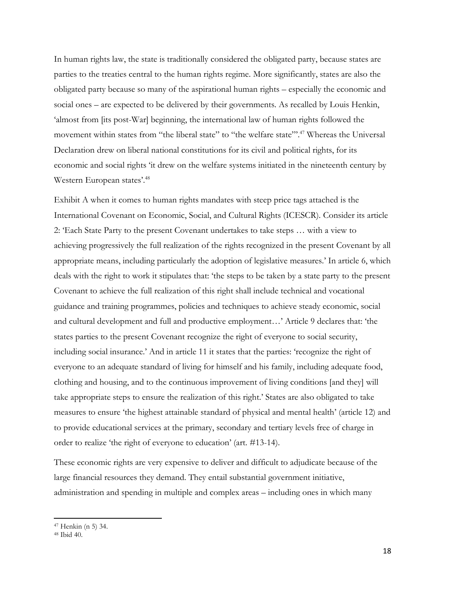In human rights law, the state is traditionally considered the obligated party, because states are parties to the treaties central to the human rights regime. More significantly, states are also the obligated party because so many of the aspirational human rights – especially the economic and social ones – are expected to be delivered by their governments. As recalled by Louis Henkin, 'almost from [its post-War] beginning, the international law of human rights followed the movement within states from "the liberal state" to "the welfare state".<sup>47</sup> Whereas the Universal Declaration drew on liberal national constitutions for its civil and political rights, for its economic and social rights 'it drew on the welfare systems initiated in the nineteenth century by Western European states'.<sup>48</sup>

Exhibit A when it comes to human rights mandates with steep price tags attached is the International Covenant on Economic, Social, and Cultural Rights (ICESCR). Consider its article 2: 'Each State Party to the present Covenant undertakes to take steps … with a view to achieving progressively the full realization of the rights recognized in the present Covenant by all appropriate means, including particularly the adoption of legislative measures.' In article 6, which deals with the right to work it stipulates that: 'the steps to be taken by a state party to the present Covenant to achieve the full realization of this right shall include technical and vocational guidance and training programmes, policies and techniques to achieve steady economic, social and cultural development and full and productive employment…' Article 9 declares that: 'the states parties to the present Covenant recognize the right of everyone to social security, including social insurance.' And in article 11 it states that the parties: 'recognize the right of everyone to an adequate standard of living for himself and his family, including adequate food, clothing and housing, and to the continuous improvement of living conditions [and they] will take appropriate steps to ensure the realization of this right.' States are also obligated to take measures to ensure 'the highest attainable standard of physical and mental health' (article 12) and to provide educational services at the primary, secondary and tertiary levels free of charge in order to realize 'the right of everyone to education' (art. #13-14).

These economic rights are very expensive to deliver and difficult to adjudicate because of the large financial resources they demand. They entail substantial government initiative, administration and spending in multiple and complex areas – including ones in which many

<sup>47</sup> Henkin (n 5) 34.

<sup>48</sup> Ibid 40.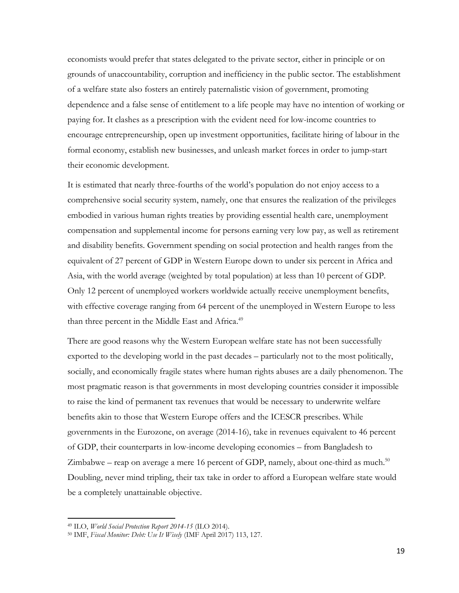economists would prefer that states delegated to the private sector, either in principle or on grounds of unaccountability, corruption and inefficiency in the public sector. The establishment of a welfare state also fosters an entirely paternalistic vision of government, promoting dependence and a false sense of entitlement to a life people may have no intention of working or paying for. It clashes as a prescription with the evident need for low-income countries to encourage entrepreneurship, open up investment opportunities, facilitate hiring of labour in the formal economy, establish new businesses, and unleash market forces in order to jump-start their economic development.

It is estimated that nearly three-fourths of the world's population do not enjoy access to a comprehensive social security system, namely, one that ensures the realization of the privileges embodied in various human rights treaties by providing essential health care, unemployment compensation and supplemental income for persons earning very low pay, as well as retirement and disability benefits. Government spending on social protection and health ranges from the equivalent of 27 percent of GDP in Western Europe down to under six percent in Africa and Asia, with the world average (weighted by total population) at less than 10 percent of GDP. Only 12 percent of unemployed workers worldwide actually receive unemployment benefits, with effective coverage ranging from 64 percent of the unemployed in Western Europe to less than three percent in the Middle East and Africa.<sup>49</sup>

There are good reasons why the Western European welfare state has not been successfully exported to the developing world in the past decades – particularly not to the most politically, socially, and economically fragile states where human rights abuses are a daily phenomenon. The most pragmatic reason is that governments in most developing countries consider it impossible to raise the kind of permanent tax revenues that would be necessary to underwrite welfare benefits akin to those that Western Europe offers and the ICESCR prescribes. While governments in the Eurozone, on average (2014-16), take in revenues equivalent to 46 percent of GDP, their counterparts in low-income developing economies – from Bangladesh to Zimbabwe – reap on average a mere 16 percent of GDP, namely, about one-third as much.<sup>50</sup> Doubling, never mind tripling, their tax take in order to afford a European welfare state would be a completely unattainable objective.

<sup>49</sup> ILO, *World Social Protection Report 2014-15* (ILO 2014).

<sup>50</sup> IMF, *Fiscal Monitor: Debt: Use It Wisely* (IMF April 2017) 113, 127.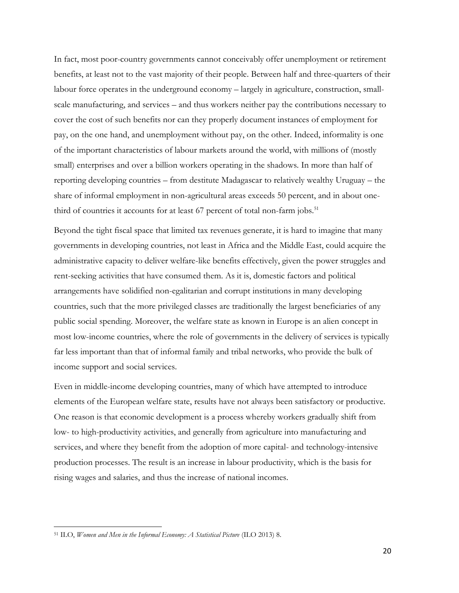In fact, most poor-country governments cannot conceivably offer unemployment or retirement benefits, at least not to the vast majority of their people. Between half and three-quarters of their labour force operates in the underground economy – largely in agriculture, construction, smallscale manufacturing, and services – and thus workers neither pay the contributions necessary to cover the cost of such benefits nor can they properly document instances of employment for pay, on the one hand, and unemployment without pay, on the other. Indeed, informality is one of the important characteristics of labour markets around the world, with millions of (mostly small) enterprises and over a billion workers operating in the shadows. In more than half of reporting developing countries – from destitute Madagascar to relatively wealthy Uruguay – the share of informal employment in non-agricultural areas exceeds 50 percent, and in about onethird of countries it accounts for at least 67 percent of total non-farm jobs.<sup>51</sup>

Beyond the tight fiscal space that limited tax revenues generate, it is hard to imagine that many governments in developing countries, not least in Africa and the Middle East, could acquire the administrative capacity to deliver welfare-like benefits effectively, given the power struggles and rent-seeking activities that have consumed them. As it is, domestic factors and political arrangements have solidified non-egalitarian and corrupt institutions in many developing countries, such that the more privileged classes are traditionally the largest beneficiaries of any public social spending. Moreover, the welfare state as known in Europe is an alien concept in most low-income countries, where the role of governments in the delivery of services is typically far less important than that of informal family and tribal networks, who provide the bulk of income support and social services.

Even in middle-income developing countries, many of which have attempted to introduce elements of the European welfare state, results have not always been satisfactory or productive. One reason is that economic development is a process whereby workers gradually shift from low- to high-productivity activities, and generally from agriculture into manufacturing and services, and where they benefit from the adoption of more capital- and technology-intensive production processes. The result is an increase in labour productivity, which is the basis for rising wages and salaries, and thus the increase of national incomes.

<sup>51</sup> ILO, *Women and Men in the Informal Economy: A Statistical Picture* (ILO 2013) 8.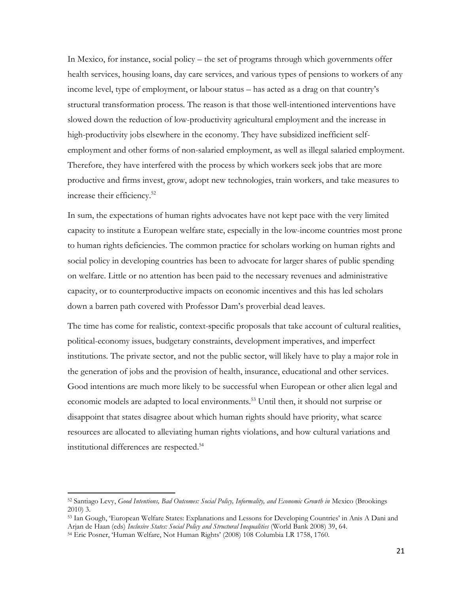In Mexico, for instance, social policy – the set of programs through which governments offer health services, housing loans, day care services, and various types of pensions to workers of any income level, type of employment, or labour status – has acted as a drag on that country's structural transformation process. The reason is that those well-intentioned interventions have slowed down the reduction of low-productivity agricultural employment and the increase in high-productivity jobs elsewhere in the economy. They have subsidized inefficient selfemployment and other forms of non-salaried employment, as well as illegal salaried employment. Therefore, they have interfered with the process by which workers seek jobs that are more productive and firms invest, grow, adopt new technologies, train workers, and take measures to increase their efficiency. 52

In sum, the expectations of human rights advocates have not kept pace with the very limited capacity to institute a European welfare state, especially in the low-income countries most prone to human rights deficiencies. The common practice for scholars working on human rights and social policy in developing countries has been to advocate for larger shares of public spending on welfare. Little or no attention has been paid to the necessary revenues and administrative capacity, or to counterproductive impacts on economic incentives and this has led scholars down a barren path covered with Professor Dam's proverbial dead leaves.

The time has come for realistic, context-specific proposals that take account of cultural realities, political-economy issues, budgetary constraints, development imperatives, and imperfect institutions. The private sector, and not the public sector, will likely have to play a major role in the generation of jobs and the provision of health, insurance, educational and other services. Good intentions are much more likely to be successful when European or other alien legal and economic models are adapted to local environments. <sup>53</sup> Until then, it should not surprise or disappoint that states disagree about which human rights should have priority, what scarce resources are allocated to alleviating human rights violations, and how cultural variations and institutional differences are respected. 54

<sup>52</sup> Santiago Levy, *Good Intentions, Bad Outcomes: Social Policy, Informality, and Economic Growth in* Mexico (Brookings 2010) 3.

<sup>53</sup> Ian Gough, 'European Welfare States: Explanations and Lessons for Developing Countries' in Anis A Dani and Arjan de Haan (eds) *Inclusive States: Social Policy and Structural Inequalities* (World Bank 2008) 39, 64.

<sup>54</sup> Eric Posner, 'Human Welfare, Not Human Rights' (2008) 108 Columbia LR 1758, 1760.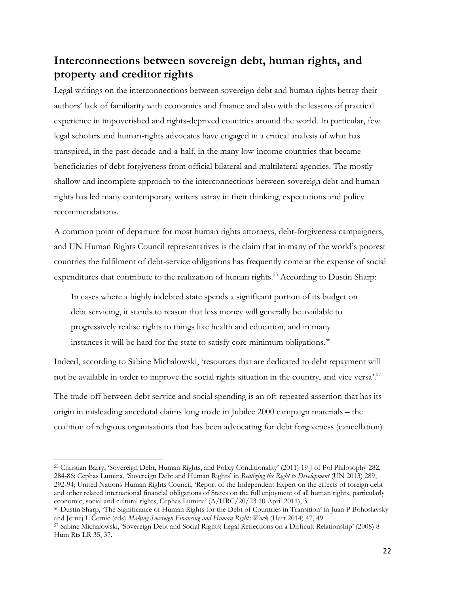# **Interconnections between sovereign debt, human rights, and property and creditor rights**

Legal writings on the interconnections between sovereign debt and human rights betray their authors' lack of familiarity with economics and finance and also with the lessons of practical experience in impoverished and rights-deprived countries around the world. In particular, few legal scholars and human-rights advocates have engaged in a critical analysis of what has transpired, in the past decade-and-a-half, in the many low-income countries that became beneficiaries of debt forgiveness from official bilateral and multilateral agencies. The mostly shallow and incomplete approach to the interconnections between sovereign debt and human rights has led many contemporary writers astray in their thinking, expectations and policy recommendations.

A common point of departure for most human rights attorneys, debt-forgiveness campaigners, and UN Human Rights Council representatives is the claim that in many of the world's poorest countries the fulfilment of debt-service obligations has frequently come at the expense of social expenditures that contribute to the realization of human rights. <sup>55</sup> According to Dustin Sharp:

In cases where a highly indebted state spends a significant portion of its budget on debt servicing, it stands to reason that less money will generally be available to progressively realise rights to things like health and education, and in many instances it will be hard for the state to satisfy core minimum obligations. 56

Indeed, according to Sabine Michalowski, 'resources that are dedicated to debt repayment will not be available in order to improve the social rights situation in the country, and vice versa'.<sup>57</sup> The trade-off between debt service and social spending is an oft-repeated assertion that has its origin in misleading anecdotal claims long made in Jubilee 2000 campaign materials – the coalition of religious organisations that has been advocating for debt forgiveness (cancellation)

<sup>55</sup> Christian Barry, 'Sovereign Debt, Human Rights, and Policy Conditionality' (2011) 19 J of Pol Philosophy 282, 284-86; Cephas Lumina, 'Sovereign Debt and Human Rights' in *Realizing the Right to Development* (UN 2013) 289, 292-94; United Nations Human Rights Council, 'Report of the Independent Expert on the effects of foreign debt and other related international financial obligations of States on the full enjoyment of all human rights, particularly economic, social and cultural rights, Cephas Lumina' (A/HRC/20/23 10 April 2011), 3.

<sup>56</sup> Dustin Sharp, 'The Significance of Human Rights for the Debt of Countries in Transition' in Juan P Bohoslavsky and Jernej L Černič (eds) *Making Sovereign Financing and Human Rights Work* (Hart 2014) 47, 49.

<sup>57</sup> Sabine Michalowski, 'Sovereign Debt and Social Rights: Legal Reflections on a Difficult Relationship' (2008) 8 Hum Rts LR 35, 37.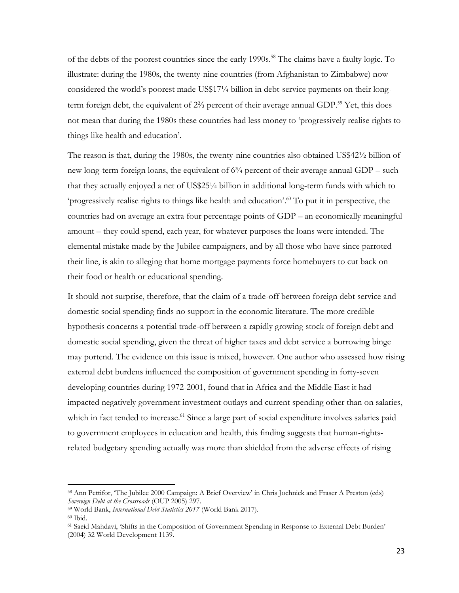of the debts of the poorest countries since the early 1990s. <sup>58</sup> The claims have a faulty logic. To illustrate: during the 1980s, the twenty-nine countries (from Afghanistan to Zimbabwe) now considered the world's poorest made US\$17¼ billion in debt-service payments on their longterm foreign debt, the equivalent of 2⅔ percent of their average annual GDP. <sup>59</sup> Yet, this does not mean that during the 1980s these countries had less money to 'progressively realise rights to things like health and education'.

The reason is that, during the 1980s, the twenty-nine countries also obtained US\$42½ billion of new long-term foreign loans, the equivalent of  $6\frac{3}{4}$  percent of their average annual GDP – such that they actually enjoyed a net of US\$25¼ billion in additional long-term funds with which to 'progressively realise rights to things like health and education'. <sup>60</sup> To put it in perspective, the countries had on average an extra four percentage points of GDP – an economically meaningful amount – they could spend, each year, for whatever purposes the loans were intended. The elemental mistake made by the Jubilee campaigners, and by all those who have since parroted their line, is akin to alleging that home mortgage payments force homebuyers to cut back on their food or health or educational spending.

It should not surprise, therefore, that the claim of a trade-off between foreign debt service and domestic social spending finds no support in the economic literature. The more credible hypothesis concerns a potential trade-off between a rapidly growing stock of foreign debt and domestic social spending, given the threat of higher taxes and debt service a borrowing binge may portend. The evidence on this issue is mixed, however. One author who assessed how rising external debt burdens influenced the composition of government spending in forty-seven developing countries during 1972-2001, found that in Africa and the Middle East it had impacted negatively government investment outlays and current spending other than on salaries, which in fact tended to increase.<sup>61</sup> Since a large part of social expenditure involves salaries paid to government employees in education and health, this finding suggests that human-rightsrelated budgetary spending actually was more than shielded from the adverse effects of rising

<sup>58</sup> Ann Pettifor, 'The Jubilee 2000 Campaign: A Brief Overview' in Chris Jochnick and Fraser A Preston (eds) *Sovereign Debt at the Crossroads* (OUP 2005) 297.

<sup>59</sup> World Bank, *International Debt Statistics 2017* (World Bank 2017).

<sup>60</sup> Ibid.

<sup>61</sup> Saeid Mahdavi, 'Shifts in the Composition of Government Spending in Response to External Debt Burden' (2004) 32 World Development 1139.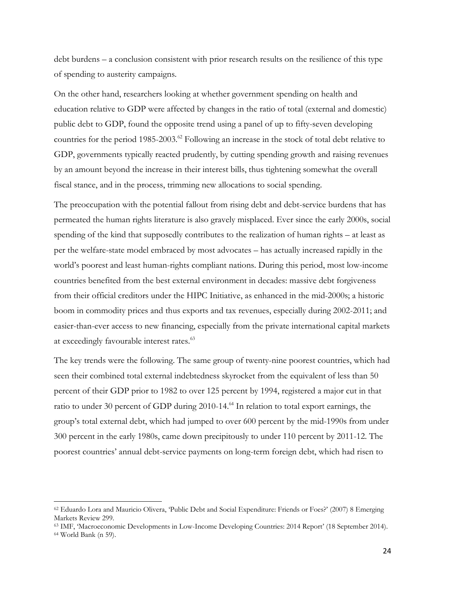debt burdens – a conclusion consistent with prior research results on the resilience of this type of spending to austerity campaigns.

On the other hand, researchers looking at whether government spending on health and education relative to GDP were affected by changes in the ratio of total (external and domestic) public debt to GDP, found the opposite trend using a panel of up to fifty-seven developing countries for the period 1985-2003. <sup>62</sup> Following an increase in the stock of total debt relative to GDP, governments typically reacted prudently, by cutting spending growth and raising revenues by an amount beyond the increase in their interest bills, thus tightening somewhat the overall fiscal stance, and in the process, trimming new allocations to social spending.

The preoccupation with the potential fallout from rising debt and debt-service burdens that has permeated the human rights literature is also gravely misplaced. Ever since the early 2000s, social spending of the kind that supposedly contributes to the realization of human rights – at least as per the welfare-state model embraced by most advocates – has actually increased rapidly in the world's poorest and least human-rights compliant nations. During this period, most low-income countries benefited from the best external environment in decades: massive debt forgiveness from their official creditors under the HIPC Initiative, as enhanced in the mid-2000s; a historic boom in commodity prices and thus exports and tax revenues, especially during 2002-2011; and easier-than-ever access to new financing, especially from the private international capital markets at exceedingly favourable interest rates.<sup>63</sup>

The key trends were the following. The same group of twenty-nine poorest countries, which had seen their combined total external indebtedness skyrocket from the equivalent of less than 50 percent of their GDP prior to 1982 to over 125 percent by 1994, registered a major cut in that ratio to under 30 percent of GDP during 2010-14. <sup>64</sup> In relation to total export earnings, the group's total external debt, which had jumped to over 600 percent by the mid-1990s from under 300 percent in the early 1980s, came down precipitously to under 110 percent by 2011-12. The poorest countries' annual debt-service payments on long-term foreign debt, which had risen to

<sup>62</sup> Eduardo Lora and Mauricio Olivera, 'Public Debt and Social Expenditure: Friends or Foes?' (2007) 8 Emerging Markets Review 299.

<sup>63</sup> IMF, 'Macroeconomic Developments in Low-Income Developing Countries: 2014 Report' (18 September 2014).

<sup>64</sup> World Bank (n 59).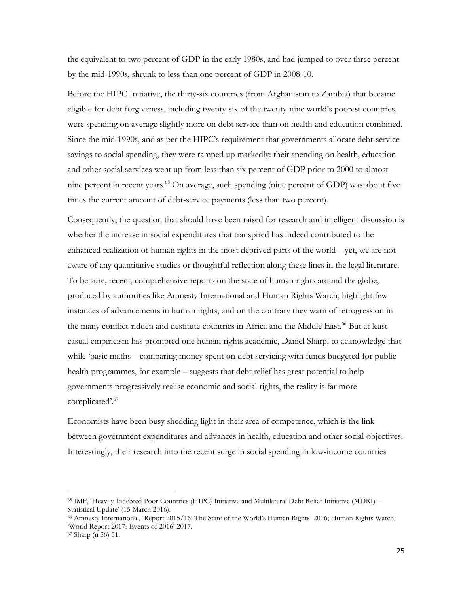the equivalent to two percent of GDP in the early 1980s, and had jumped to over three percent by the mid-1990s, shrunk to less than one percent of GDP in 2008-10.

Before the HIPC Initiative, the thirty-six countries (from Afghanistan to Zambia) that became eligible for debt forgiveness, including twenty-six of the twenty-nine world's poorest countries, were spending on average slightly more on debt service than on health and education combined. Since the mid-1990s, and as per the HIPC's requirement that governments allocate debt-service savings to social spending, they were ramped up markedly: their spending on health, education and other social services went up from less than six percent of GDP prior to 2000 to almost nine percent in recent years. <sup>65</sup> On average, such spending (nine percent of GDP) was about five times the current amount of debt-service payments (less than two percent).

Consequently, the question that should have been raised for research and intelligent discussion is whether the increase in social expenditures that transpired has indeed contributed to the enhanced realization of human rights in the most deprived parts of the world – yet, we are not aware of any quantitative studies or thoughtful reflection along these lines in the legal literature. To be sure, recent, comprehensive reports on the state of human rights around the globe, produced by authorities like Amnesty International and Human Rights Watch, highlight few instances of advancements in human rights, and on the contrary they warn of retrogression in the many conflict-ridden and destitute countries in Africa and the Middle East.<sup>66</sup> But at least casual empiricism has prompted one human rights academic, Daniel Sharp, to acknowledge that while 'basic maths – comparing money spent on debt servicing with funds budgeted for public health programmes, for example – suggests that debt relief has great potential to help governments progressively realise economic and social rights, the reality is far more complicated'. 67

Economists have been busy shedding light in their area of competence, which is the link between government expenditures and advances in health, education and other social objectives. Interestingly, their research into the recent surge in social spending in low-income countries

<sup>65</sup> IMF, 'Heavily Indebted Poor Countries (HIPC) Initiative and Multilateral Debt Relief Initiative (MDRI)— Statistical Update' (15 March 2016).

<sup>66</sup> Amnesty International, 'Report 2015/16: The State of the World's Human Rights' 2016; Human Rights Watch, 'World Report 2017: Events of 2016' 2017.

<sup>67</sup> Sharp (n 56) 51.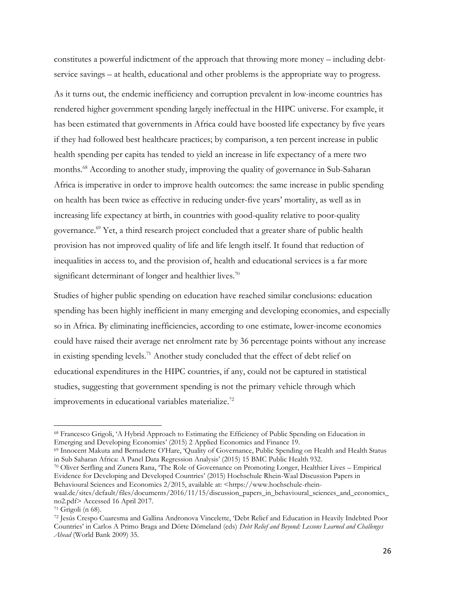constitutes a powerful indictment of the approach that throwing more money – including debtservice savings – at health, educational and other problems is the appropriate way to progress.

As it turns out, the endemic inefficiency and corruption prevalent in low-income countries has rendered higher government spending largely ineffectual in the HIPC universe. For example, it has been estimated that governments in Africa could have boosted life expectancy by five years if they had followed best healthcare practices; by comparison, a ten percent increase in public health spending per capita has tended to yield an increase in life expectancy of a mere two months. <sup>68</sup> According to another study, improving the quality of governance in Sub-Saharan Africa is imperative in order to improve health outcomes: the same increase in public spending on health has been twice as effective in reducing under-five years' mortality, as well as in increasing life expectancy at birth, in countries with good-quality relative to poor-quality governance. <sup>69</sup> Yet, a third research project concluded that a greater share of public health provision has not improved quality of life and life length itself. It found that reduction of inequalities in access to, and the provision of, health and educational services is a far more significant determinant of longer and healthier lives.<sup>70</sup>

Studies of higher public spending on education have reached similar conclusions: education spending has been highly inefficient in many emerging and developing economies, and especially so in Africa. By eliminating inefficiencies, according to one estimate, lower-income economies could have raised their average net enrolment rate by 36 percentage points without any increase in existing spending levels.<sup>71</sup> Another study concluded that the effect of debt relief on educational expenditures in the HIPC countries, if any, could not be captured in statistical studies, suggesting that government spending is not the primary vehicle through which improvements in educational variables materialize.<sup>72</sup>

<sup>70</sup> Oliver Serfling and Zunera Rana, 'The Role of Governance on Promoting Longer, Healthier Lives – Empirical Evidence for Developing and Developed Countries' (2015) Hochschule Rhein-Waal Discussion Papers in Behavioural Sciences and Economics 2/2015, available at: <https://www.hochschule-rhein-

<sup>68</sup> Francesco Grigoli, 'A Hybrid Approach to Estimating the Efficiency of Public Spending on Education in Emerging and Developing Economies' (2015) 2 Applied Economics and Finance 19.

<sup>69</sup> Innocent Makuta and Bernadette O'Hare, 'Quality of Governance, Public Spending on Health and Health Status in Sub Saharan Africa: A Panel Data Regression Analysis' (2015) 15 BMC Public Health 932.

waal.de/sites/default/files/documents/2016/11/15/discussion\_papers\_in\_behavioural\_sciences\_and\_economics\_ no2.pdf> Accessed 16 April 2017.

<sup>71</sup> Grigoli (n 68).

<sup>72</sup> Jesús Crespo Cuaresma and Gallina Andronova Vincelette, 'Debt Relief and Education in Heavily Indebted Poor Countries' in Carlos A Primo Braga and Dörte Dömeland (eds) *Debt Relief and Beyond: Lessons Learned and Challenges Ahead* (World Bank 2009) 35.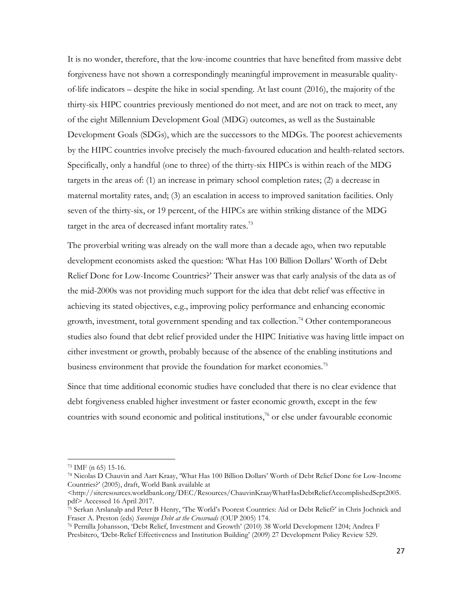It is no wonder, therefore, that the low-income countries that have benefited from massive debt forgiveness have not shown a correspondingly meaningful improvement in measurable qualityof-life indicators – despite the hike in social spending. At last count (2016), the majority of the thirty-six HIPC countries previously mentioned do not meet, and are not on track to meet, any of the eight Millennium Development Goal (MDG) outcomes, as well as the Sustainable Development Goals (SDGs), which are the successors to the MDGs. The poorest achievements by the HIPC countries involve precisely the much-favoured education and health-related sectors. Specifically, only a handful (one to three) of the thirty-six HIPCs is within reach of the MDG targets in the areas of: (1) an increase in primary school completion rates; (2) a decrease in maternal mortality rates, and; (3) an escalation in access to improved sanitation facilities. Only seven of the thirty-six, or 19 percent, of the HIPCs are within striking distance of the MDG target in the area of decreased infant mortality rates.<sup>73</sup>

The proverbial writing was already on the wall more than a decade ago, when two reputable development economists asked the question: 'What Has 100 Billion Dollars' Worth of Debt Relief Done for Low-Income Countries?' Their answer was that early analysis of the data as of the mid-2000s was not providing much support for the idea that debt relief was effective in achieving its stated objectives, e.g., improving policy performance and enhancing economic growth, investment, total government spending and tax collection. <sup>74</sup> Other contemporaneous studies also found that debt relief provided under the HIPC Initiative was having little impact on either investment or growth, probably because of the absence of the enabling institutions and business environment that provide the foundation for market economies.<sup>75</sup>

Since that time additional economic studies have concluded that there is no clear evidence that debt forgiveness enabled higher investment or faster economic growth, except in the few countries with sound economic and political institutions, <sup>76</sup> or else under favourable economic

<sup>73</sup> IMF (n 65) 15-16.

<sup>74</sup> Nicolas D Chauvin and Aart Kraay, 'What Has 100 Billion Dollars' Worth of Debt Relief Done for Low-Income Countries?' (2005), draft, World Bank available at

<sup>&</sup>lt;http://siteresources.worldbank.org/DEC/Resources/ChauvinKraayWhatHasDebtReliefAccomplishedSept2005. pdf> Accessed 16 April 2017.

<sup>75</sup> Serkan Arslanalp and Peter B Henry, 'The World's Poorest Countries: Aid or Debt Relief?' in Chris Jochnick and Fraser A. Preston (eds) *Sovereign Debt at the Crossroads* (OUP 2005) 174.

<sup>76</sup> Pernilla Johansson, 'Debt Relief, Investment and Growth' (2010) 38 World Development 1204; Andrea F Presbitero, 'Debt-Relief Effectiveness and Institution Building' (2009) 27 Development Policy Review 529.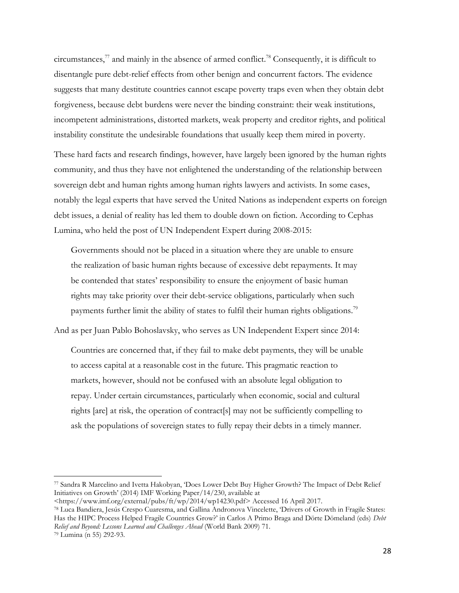circumstances, $\frac{7}{7}$  and mainly in the absence of armed conflict.<sup>78</sup> Consequently, it is difficult to disentangle pure debt-relief effects from other benign and concurrent factors. The evidence suggests that many destitute countries cannot escape poverty traps even when they obtain debt forgiveness, because debt burdens were never the binding constraint: their weak institutions, incompetent administrations, distorted markets, weak property and creditor rights, and political instability constitute the undesirable foundations that usually keep them mired in poverty.

These hard facts and research findings, however, have largely been ignored by the human rights community, and thus they have not enlightened the understanding of the relationship between sovereign debt and human rights among human rights lawyers and activists. In some cases, notably the legal experts that have served the United Nations as independent experts on foreign debt issues, a denial of reality has led them to double down on fiction. According to Cephas Lumina, who held the post of UN Independent Expert during 2008-2015:

Governments should not be placed in a situation where they are unable to ensure the realization of basic human rights because of excessive debt repayments. It may be contended that states' responsibility to ensure the enjoyment of basic human rights may take priority over their debt-service obligations, particularly when such payments further limit the ability of states to fulfil their human rights obligations.<sup>79</sup>

And as per Juan Pablo Bohoslavsky, who serves as UN Independent Expert since 2014:

Countries are concerned that, if they fail to make debt payments, they will be unable to access capital at a reasonable cost in the future. This pragmatic reaction to markets, however, should not be confused with an absolute legal obligation to repay. Under certain circumstances, particularly when economic, social and cultural rights [are] at risk, the operation of contract[s] may not be sufficiently compelling to ask the populations of sovereign states to fully repay their debts in a timely manner.

<sup>77</sup> Sandra R Marcelino and Ivetta Hakobyan, 'Does Lower Debt Buy Higher Growth? The Impact of Debt Relief Initiatives on Growth' (2014) IMF Working Paper/14/230, available at

<sup>&</sup>lt;https://www.imf.org/external/pubs/ft/wp/2014/wp14230.pdf> Accessed 16 April 2017.

<sup>78</sup> Luca Bandiera, Jesús Crespo Cuaresma, and Gallina Andronova Vincelette, 'Drivers of Growth in Fragile States: Has the HIPC Process Helped Fragile Countries Grow?' in Carlos A Primo Braga and Dörte Dömeland (eds) *Debt Relief and Beyond: Lessons Learned and Challenges Ahead* (World Bank 2009) 71.

<sup>79</sup> Lumina (n 55) 292-93.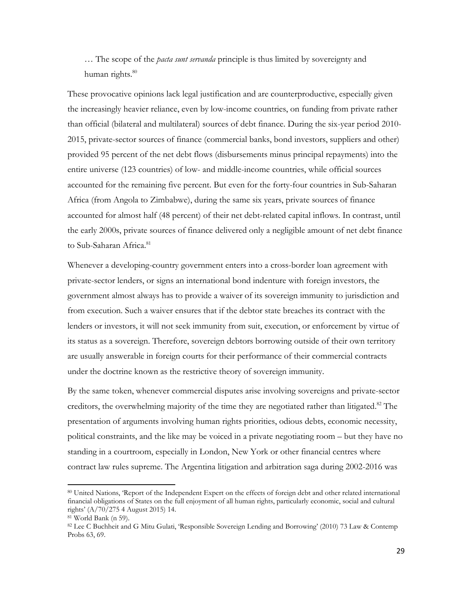… The scope of the *pacta sunt servanda* principle is thus limited by sovereignty and human rights.<sup>80</sup>

These provocative opinions lack legal justification and are counterproductive, especially given the increasingly heavier reliance, even by low-income countries, on funding from private rather than official (bilateral and multilateral) sources of debt finance. During the six-year period 2010- 2015, private-sector sources of finance (commercial banks, bond investors, suppliers and other) provided 95 percent of the net debt flows (disbursements minus principal repayments) into the entire universe (123 countries) of low- and middle-income countries, while official sources accounted for the remaining five percent. But even for the forty-four countries in Sub-Saharan Africa (from Angola to Zimbabwe), during the same six years, private sources of finance accounted for almost half (48 percent) of their net debt-related capital inflows. In contrast, until the early 2000s, private sources of finance delivered only a negligible amount of net debt finance to Sub-Saharan Africa.<sup>81</sup>

Whenever a developing-country government enters into a cross-border loan agreement with private-sector lenders, or signs an international bond indenture with foreign investors, the government almost always has to provide a waiver of its sovereign immunity to jurisdiction and from execution. Such a waiver ensures that if the debtor state breaches its contract with the lenders or investors, it will not seek immunity from suit, execution, or enforcement by virtue of its status as a sovereign. Therefore, sovereign debtors borrowing outside of their own territory are usually answerable in foreign courts for their performance of their commercial contracts under the doctrine known as the restrictive theory of sovereign immunity.

By the same token, whenever commercial disputes arise involving sovereigns and private-sector creditors, the overwhelming majority of the time they are negotiated rather than litigated.<sup>82</sup> The presentation of arguments involving human rights priorities, odious debts, economic necessity, political constraints, and the like may be voiced in a private negotiating room – but they have no standing in a courtroom, especially in London, New York or other financial centres where contract law rules supreme. The Argentina litigation and arbitration saga during 2002-2016 was

<sup>80</sup> United Nations, 'Report of the Independent Expert on the effects of foreign debt and other related international financial obligations of States on the full enjoyment of all human rights, particularly economic, social and cultural rights' (A/70/275 4 August 2015) 14.

<sup>81</sup> World Bank (n 59).

<sup>82</sup> Lee C Buchheit and G Mitu Gulati, 'Responsible Sovereign Lending and Borrowing' (2010) 73 Law & Contemp Probs 63, 69.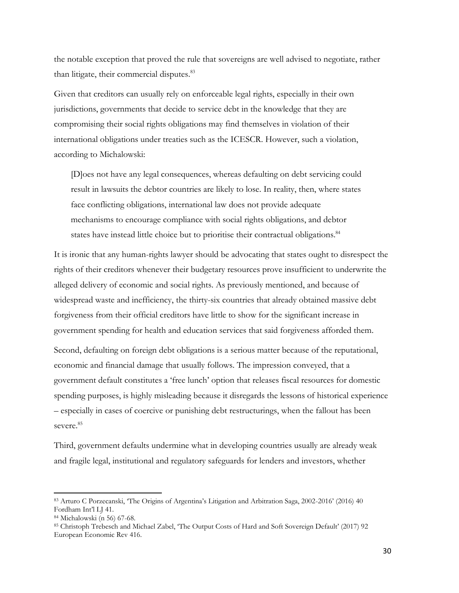the notable exception that proved the rule that sovereigns are well advised to negotiate, rather than litigate, their commercial disputes.<sup>83</sup>

Given that creditors can usually rely on enforceable legal rights, especially in their own jurisdictions, governments that decide to service debt in the knowledge that they are compromising their social rights obligations may find themselves in violation of their international obligations under treaties such as the ICESCR. However, such a violation, according to Michalowski:

[D]oes not have any legal consequences, whereas defaulting on debt servicing could result in lawsuits the debtor countries are likely to lose. In reality, then, where states face conflicting obligations, international law does not provide adequate mechanisms to encourage compliance with social rights obligations, and debtor states have instead little choice but to prioritise their contractual obligations.<sup>84</sup>

It is ironic that any human-rights lawyer should be advocating that states ought to disrespect the rights of their creditors whenever their budgetary resources prove insufficient to underwrite the alleged delivery of economic and social rights. As previously mentioned, and because of widespread waste and inefficiency, the thirty-six countries that already obtained massive debt forgiveness from their official creditors have little to show for the significant increase in government spending for health and education services that said forgiveness afforded them.

Second, defaulting on foreign debt obligations is a serious matter because of the reputational, economic and financial damage that usually follows. The impression conveyed, that a government default constitutes a 'free lunch' option that releases fiscal resources for domestic spending purposes, is highly misleading because it disregards the lessons of historical experience – especially in cases of coercive or punishing debt restructurings, when the fallout has been severe. 85

Third, government defaults undermine what in developing countries usually are already weak and fragile legal, institutional and regulatory safeguards for lenders and investors, whether

<sup>83</sup> Arturo C Porzecanski, 'The Origins of Argentina's Litigation and Arbitration Saga, 2002-2016' (2016) 40 Fordham Int'l LJ 41.

<sup>84</sup> Michalowski (n 56) 67-68.

<sup>85</sup> Christoph Trebesch and Michael Zabel, 'The Output Costs of Hard and Soft Sovereign Default' (2017) 92 European Economic Rev 416.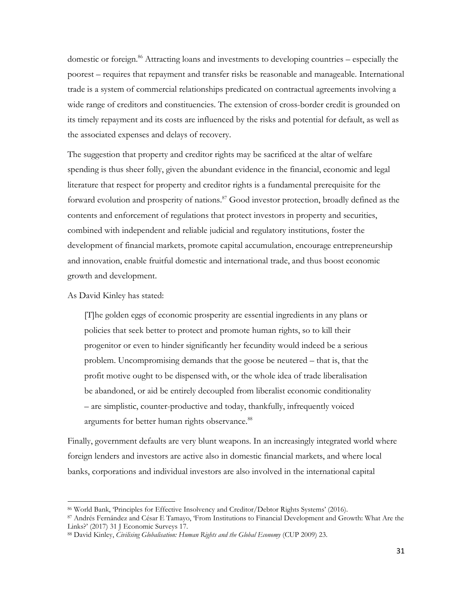domestic or foreign. <sup>86</sup> Attracting loans and investments to developing countries – especially the poorest – requires that repayment and transfer risks be reasonable and manageable. International trade is a system of commercial relationships predicated on contractual agreements involving a wide range of creditors and constituencies. The extension of cross-border credit is grounded on its timely repayment and its costs are influenced by the risks and potential for default, as well as the associated expenses and delays of recovery.

The suggestion that property and creditor rights may be sacrificed at the altar of welfare spending is thus sheer folly, given the abundant evidence in the financial, economic and legal literature that respect for property and creditor rights is a fundamental prerequisite for the forward evolution and prosperity of nations. <sup>87</sup> Good investor protection, broadly defined as the contents and enforcement of regulations that protect investors in property and securities, combined with independent and reliable judicial and regulatory institutions, foster the development of financial markets, promote capital accumulation, encourage entrepreneurship and innovation, enable fruitful domestic and international trade, and thus boost economic growth and development.

As David Kinley has stated:

 $\overline{\phantom{a}}$ 

[T]he golden eggs of economic prosperity are essential ingredients in any plans or policies that seek better to protect and promote human rights, so to kill their progenitor or even to hinder significantly her fecundity would indeed be a serious problem. Uncompromising demands that the goose be neutered – that is, that the profit motive ought to be dispensed with, or the whole idea of trade liberalisation be abandoned, or aid be entirely decoupled from liberalist economic conditionality – are simplistic, counter-productive and today, thankfully, infrequently voiced arguments for better human rights observance.<sup>88</sup>

Finally, government defaults are very blunt weapons. In an increasingly integrated world where foreign lenders and investors are active also in domestic financial markets, and where local banks, corporations and individual investors are also involved in the international capital

<sup>86</sup> World Bank, 'Principles for Effective Insolvency and Creditor/Debtor Rights Systems' (2016).

<sup>87</sup> Andrés Fernández and César E Tamayo, 'From Institutions to Financial Development and Growth: What Are the Links?' (2017) 31 J Economic Surveys 17.

<sup>88</sup> David Kinley, *Civilising Globalisation: Human Rights and the Global Economy* (CUP 2009) 23.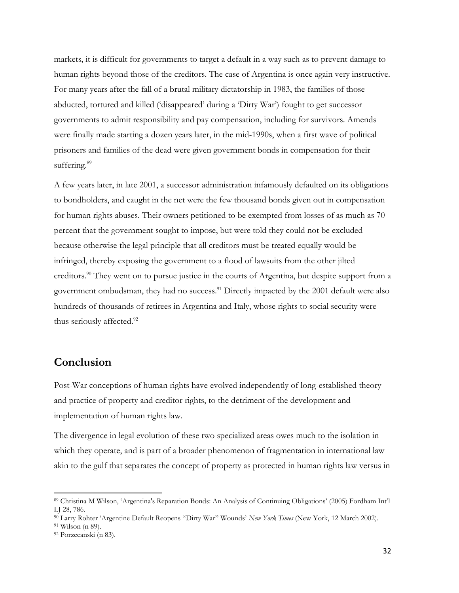markets, it is difficult for governments to target a default in a way such as to prevent damage to human rights beyond those of the creditors. The case of Argentina is once again very instructive. For many years after the fall of a brutal military dictatorship in 1983, the families of those abducted, tortured and killed ('disappeared' during a 'Dirty War') fought to get successor governments to admit responsibility and pay compensation, including for survivors. Amends were finally made starting a dozen years later, in the mid-1990s, when a first wave of political prisoners and families of the dead were given government bonds in compensation for their suffering.<sup>89</sup>

A few years later, in late 2001, a successor administration infamously defaulted on its obligations to bondholders, and caught in the net were the few thousand bonds given out in compensation for human rights abuses. Their owners petitioned to be exempted from losses of as much as 70 percent that the government sought to impose, but were told they could not be excluded because otherwise the legal principle that all creditors must be treated equally would be infringed, thereby exposing the government to a flood of lawsuits from the other jilted creditors.<sup>90</sup> They went on to pursue justice in the courts of Argentina, but despite support from a government ombudsman, they had no success.<sup>91</sup> Directly impacted by the 2001 default were also hundreds of thousands of retirees in Argentina and Italy, whose rights to social security were thus seriously affected.<sup>92</sup>

# **Conclusion**

Post-War conceptions of human rights have evolved independently of long-established theory and practice of property and creditor rights, to the detriment of the development and implementation of human rights law.

The divergence in legal evolution of these two specialized areas owes much to the isolation in which they operate, and is part of a broader phenomenon of fragmentation in international law akin to the gulf that separates the concept of property as protected in human rights law versus in

<sup>89</sup> Christina M Wilson, 'Argentina's Reparation Bonds: An Analysis of Continuing Obligations' (2005) Fordham Int'l LJ 28, 786.

<sup>90</sup> Larry Rohter 'Argentine Default Reopens "Dirty War" Wounds' *New York Times* (New York, 12 March 2002).

<sup>91</sup> Wilson (n 89).

<sup>92</sup> Porzecanski (n 83).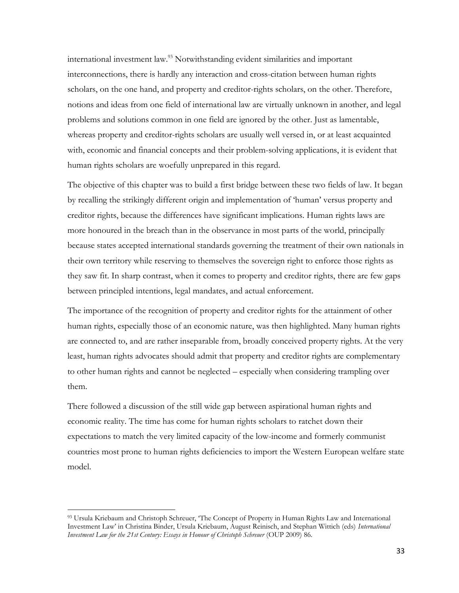international investment law. <sup>93</sup> Notwithstanding evident similarities and important interconnections, there is hardly any interaction and cross-citation between human rights scholars, on the one hand, and property and creditor-rights scholars, on the other. Therefore, notions and ideas from one field of international law are virtually unknown in another, and legal problems and solutions common in one field are ignored by the other. Just as lamentable, whereas property and creditor-rights scholars are usually well versed in, or at least acquainted with, economic and financial concepts and their problem-solving applications, it is evident that human rights scholars are woefully unprepared in this regard.

The objective of this chapter was to build a first bridge between these two fields of law. It began by recalling the strikingly different origin and implementation of 'human' versus property and creditor rights, because the differences have significant implications. Human rights laws are more honoured in the breach than in the observance in most parts of the world, principally because states accepted international standards governing the treatment of their own nationals in their own territory while reserving to themselves the sovereign right to enforce those rights as they saw fit. In sharp contrast, when it comes to property and creditor rights, there are few gaps between principled intentions, legal mandates, and actual enforcement.

The importance of the recognition of property and creditor rights for the attainment of other human rights, especially those of an economic nature, was then highlighted. Many human rights are connected to, and are rather inseparable from, broadly conceived property rights. At the very least, human rights advocates should admit that property and creditor rights are complementary to other human rights and cannot be neglected – especially when considering trampling over them.

There followed a discussion of the still wide gap between aspirational human rights and economic reality. The time has come for human rights scholars to ratchet down their expectations to match the very limited capacity of the low-income and formerly communist countries most prone to human rights deficiencies to import the Western European welfare state model.

<sup>93</sup> Ursula Kriebaum and Christoph Schreuer, 'The Concept of Property in Human Rights Law and International Investment Law' in Christina Binder, Ursula Kriebaum, August Reinisch, and Stephan Wittich (eds) *International Investment Law for the 21st Century: Essays in Honour of Christoph Schreuer* (OUP 2009) 86.